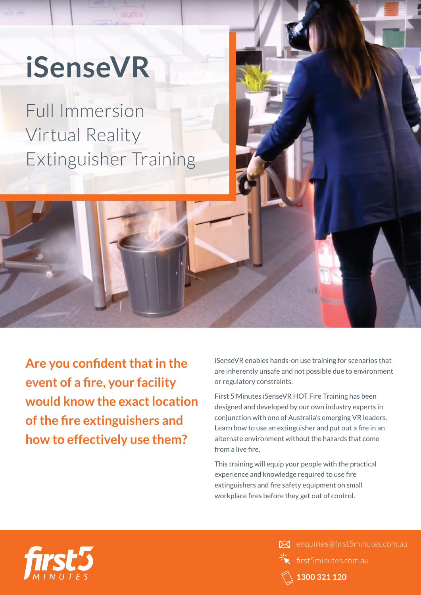## **iSenseVR**

Full Immersion Virtual Reality Extinguisher Training

**Are you confident that in the event of a fire, your facility would know the exact location of the fire extinguishers and how to effectively use them?**

iSenseVR enables hands-on use training for scenarios that are inherently unsafe and not possible due to environment or regulatory constraints.

First 5 Minutes iSenseVR HOT Fire Training has been designed and developed by our own industry experts in conjunction with one of Australia's emerging VR leaders. Learn how to use an extinguisher and put out a fire in an alternate environment without the hazards that come from a live fire.

This training will equip your people with the practical experience and knowledge required to use fire extinguishers and fire safety equipment on small workplace fires before they get out of control.



first5minutes.com.au **M** enquiries@first5minutes.com.au **1300 321 120**